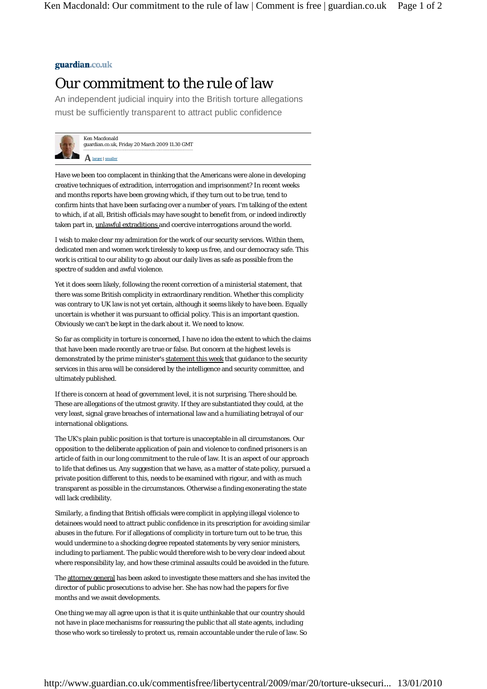## guardian.co.uk

## Our commitment to the rule of law

An independent judicial inquiry into the British torture allegations must be sufficiently transparent to attract public confidence



Ken Macdonald guardian.co.uk, Friday 20 March 2009 11.30 GMT

A larger | smaller

Have we been too complacent in thinking that the Americans were alone in developing creative techniques of extradition, interrogation and imprisonment? In recent weeks and months reports have been growing which, if they turn out to be true, tend to confirm hints that have been surfacing over a number of years. I'm talking of the extent to which, if at all, British officials may have sought to benefit from, or indeed indirectly taken part in, unlawful extraditions and coercive interrogations around the world.

I wish to make clear my admiration for the work of our security services. Within them, dedicated men and women work tirelessly to keep us free, and our democracy safe. This work is critical to our ability to go about our daily lives as safe as possible from the spectre of sudden and awful violence.

Yet it does seem likely, following the recent correction of a ministerial statement, that there was some British complicity in extraordinary rendition. Whether this complicity was contrary to UK law is not yet certain, although it seems likely to have been. Equally uncertain is whether it was pursuant to official policy. This is an important question. Obviously we can't be kept in the dark about it. We need to know.

So far as complicity in torture is concerned, I have no idea the extent to which the claims that have been made recently are true or false. But concern at the highest levels is demonstrated by the prime minister's statement this week that guidance to the security services in this area will be considered by the intelligence and security committee, and ultimately published.

If there is concern at head of government level, it is not surprising. There should be. These are allegations of the utmost gravity. If they are substantiated they could, at the very least, signal grave breaches of international law and a humiliating betrayal of our international obligations.

The UK's plain public position is that torture is unacceptable in all circumstances. Our opposition to the deliberate application of pain and violence to confined prisoners is an article of faith in our long commitment to the rule of law. It is an aspect of our approach to life that defines us. Any suggestion that we have, as a matter of state policy, pursued a private position different to this, needs to be examined with rigour, and with as much transparent as possible in the circumstances. Otherwise a finding exonerating the state will lack credibility.

Similarly, a finding that British officials were complicit in applying illegal violence to detainees would need to attract public confidence in its prescription for avoiding similar abuses in the future. For if allegations of complicity in torture turn out to be true, this would undermine to a shocking degree repeated statements by very senior ministers, including to parliament. The public would therefore wish to be very clear indeed about where responsibility lay, and how these criminal assaults could be avoided in the future.

The attorney general has been asked to investigate these matters and she has invited the director of public prosecutions to advise her. She has now had the papers for five months and we await developments.

One thing we may all agree upon is that it is quite unthinkable that our country should not have in place mechanisms for reassuring the public that all state agents, including those who work so tirelessly to protect us, remain accountable under the rule of law. So